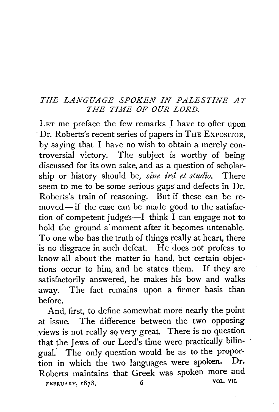## *THE LANGUAGE SPOKEN IN PALESTINE AT THE TIME OF OUR LORD.*

LET me preface the few remarks I have to ofter upon Dr. Roberts's recent series of papers in THE EXPOSITOR, by saying that I have no wish to obtain a merely controversial victory. The subject is worthy of being discussed for its own sake, and as a question of scholarship or history should be, *sine irâ et studio*. There seem to me to be some serious gaps and defects in Dr. Roberts's train of reasoning. But if these can be re $moved$ —if the case can be made good to the satisfaction of competent judges-I think I can engage not to hold the ground a moment after it becomes untenable. To one who has the truth of things really at heart, there is no disgrace in such defeat. He does not profess to know all about the matter in hand, but certain objections occur to him, and he states them. If they are satisfactorily answered, he makes his bow and walks away. The fact remains upon a firmer basis than before.

And, first, to define somewhat more nearly the point at issue. The difference between the two opposing views is not really *sq* very great. There is no question that the Jews of our Lord's time were practically bilingual. The only question would be as to the proportion in which the two languages were spoken. Dr. Roberts maintains that Greek was spoken more and<br>reprise that Creek was spoken work villy  $FEBRUARY, 1878.$  6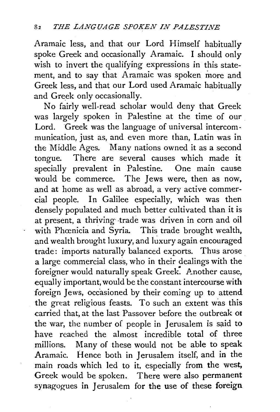Aramaic less, and that our Lord Himself habitually spoke Greek and occasionally Aramaic. I should only wish to invert the qualifying expressions in this statement, and to say that Aramaic was spoken more and Greek less, and that our Lord used Aramaic habitually and Greek only occasionally.

No fairly well-read scholar would deny that Greek was largely spoken in Palestine at the time of our Lord. Greek was the language of universal intercommunication, just as, and even more than, Latin was in the Middle Ages. Many nations owned it as a second tongue. There are several causes which made it specially prevalent in Palestine. One main cause would be commerce. The Jews were, then as now, and at home as well as abroad, a very active commercial people. In Galilee especially, which was then densely populated and much better cultivated than it is at present, a thriving trade was driven in corn and oil with Phœnicia and Syria. This trade brought wealth, and wealth brought luxury, and luxury again encouraged trade: imports naturally balanced exports. Thus arose a large commercial class, who in their dealings with the foreigner would naturally speak Greek. Another cause, equally important, would be the constant intercourse with foreign Jews, occasioned by their coming up to attend the great religious feasts. To such an extent was this carried that, at the last Passover before the outbreak ot the war, the number of people in Jerusalem is said to have reached the almost incredible total of three millions. Many of these would not be able to speak Aramaic. Hence both in Jerusalem itself, and in the main roads which led to it, especially from the west, Greek would be spoken. There were also permanent synagogues in Jerusalem for the use of these foreign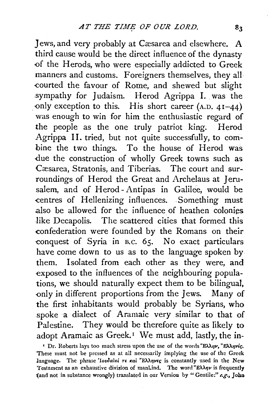Jews, and very probably at Cæsarea and elsewhere. A third cause would be the direct influence of the dynasty of the Herods, who were especially addicted to Greek manners and customs. Foreigners themselves, they all -courted the favour of Rome, and shewed but slight sympathy for Judaism. Herod Agrippa I. was the only exception to this. His short career (A.D.  $41-44$ ) was enough to win for him the enthusiastic regard of the people as the one truly patriot king. Herod Agrippa II. tried, but not quite successfully; to combine the two things. To the house of Herod was due the construction of wholly Greek towns such as Cæsarea, Stratonis, and Tiberias. The court and surroundings of Herod the Great and Archelaus at Jerusalem, and of Herod- Antipas in Galilee, would be -centres of Hellenizing influences. Something must also be allowed for the influence of heathen colonies like Decapolis. The scattered cities that formed this confederation were founded by the Romans on their conquest of Syria in B.C. 65. No exact particulars have come down to us as to the language spoken by them. Isolated from each other as they were, and exposed to the influences of the neighbouring populations, we should naturally expect them to be bilingual, only in different proportions from the Jews. Many of the first inhabitants would probably be Syrians, who .spoke a dialect of Aramaic very similar to that of Palestine. They would be therefore quite as likely to adopt Aramaic as Greek.<sup> $I$ </sup> We must add, lastly, the in-

<sup>I</sup> Dr. Roberts lays too much stress upon the use of the words "E $\lambda \eta \nu$ , "E $\lambda \eta \nu$ ig. These must not be pressed as at all necessarily implying the use of the Greek language. The phrase *'Iovoaioi re kai* "E $\lambda \lambda \eta \nu \epsilon$  is constantly used in the New Testament as an exhaustive division of mankind. The word " $E(\lambda \wedge \eta \nu)$  is frequently ~and not in substance wrongly) translated in our Versioa by "Gentile:" *e.g.,* John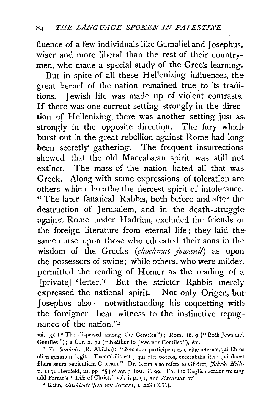fluence of a few individuals like Gamaliel and Josephus, wiser and more liberal than the rest of their countrymen, who made a special study of the Greek learning.

But in spite of all these Hellenizing influences, the great kernel of the nation remained true to its traditions. Iewish life was made up of violent contrasts. If there was one current setting strongly in the direction of Hellenizing, there was another setting just as strongly in the opposite direction. The fury which burst out in the great rebellion against Rome had long been secretly gathering. The frequent insurrections. shewed that the old Maccabæan spirit was still not extinct. The mass of the nation hated all that was Greek. Along with some expressions of toleration are others which breathe the fiercest spirit of intolerance. " The later fanatical Rabbis, both before and after the· destruction of Jerusalem, and in the death-struggle against Rome under Hadrian, excluded the friends or the foreign literature from eternal life ; they laid the same curse upon those who educated their sons in thewisdom of the Greeks *(chochmat jewanit)* as upon the possessors of swine; while others, who were milder, permitted the reading of Homer as the reading of a [private] 'letter.'<sup>1</sup> But the stricter Rabbis merely expressed the national spirit. Not only Origen, but Josephus also - notwithstanding his coquetting with the foreigner-bear witness to the instinctive repugnance of the nation."2

vii. 35 ("The dispersed among the Gentiles"); Rom. iii. 9 ("Both Jews and Gentiles"); I Cor. x. 32 ("Neither to Jews nor Gentiles"), &c.

<sup>1</sup> *Tr. Sanhedr.* (R. Akibha): "Nec eum participem esse vitæ æternæ, qui librosalienigenamm legit. Execrabilis esto, qui alit porcos, execrabilis item qui docet filium suum sapientiam Græcam." Dr. Keim also refers to Gfrörer, *Jahrh. Heils.* p. 115; Herzfeld, iii. pp. 254 et seq.; Jost, iii. 99. For the English reader we may add Farrar's "Life of Christ," vol. i. p. 91, and *Excursus* iv"

<sup>2</sup> Keim, *Geschichte Jesu von Nazara*, i. 228 (E.T.).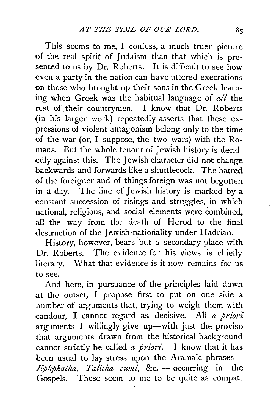This seems to me, I confess, a much truer picture of the real spirit of Judaism than that which is presented to us by Dr. Roberts. It is difficult to see how even a party in the nation can have uttered execrations on those who brought up their sons in the Greek learning when Greek was the habitual language of *all* the rest of. their countrymen. I know that Dr. Roberts (in his larger work) repeatedly asserts that these expressions of violent antagonism belong only to the time of the war (or, I suppose, the two wars) with the Romans. But the whole tenour of Jewish history is decidedly against this. The Jewish character did not change backwards and forwards like a shuttlecock. The hatred of the foreigner and of things foreign was not begotten in a day. The line of Jewish history is marked by a constant succession of risings and struggles, in which national, religious, and social elements were combined, all the way from the death of Herod to the final destruction of the Jewish nationality under Hadrian.

History, however, bears but a secondary place with Dr. Roberts. The evidence for his views is chiefly literary. What that evidence is it now remains for us to see.

And here, in pursuance of the principles laid down at the outset, I propose first to put on one side a number of arguments that, trying to weigh them with candour, I cannot regard as decisive. All *a priori*  arguments I willingly give up-with just the proviso that arguments drawn from the historical background cannot strictly be called *a priori*. I know that it has been usual to lay stress upon the Aramaic phrases- $Ephphaiha$ , Talitha cumi, &c. — occurring in the Gospels. These seem to me to be quite as compat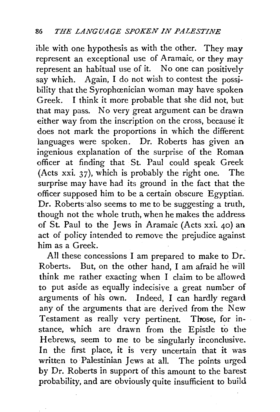ible with one hypothesis as with the other. They may represent an exceptional use of Aramaic, or they may represent an habitual use of it. No one can positively say which. Again, I do not wish to contest the possjbility that the Syrophœnician woman may have spoken Greek. I think it more probable that she did not, but that may pass. No very great argument can be drawn either way from the inscription on the cross, because it does not mark the proportions in which the different languages were spoken. Dr. Roberts has given an ingenious explanation of the surprise of the Roman officer at finding that St. Paul could speak Greek (Acts xxi. 37), which is probably the right one. The surprise may have had its ground in the fact that the officer supposed him to be a certain obscure Egyptian. Dr. Roberts·also seems to me to be suggesting a truth, though not the whole truth, when he makes the address. of St. Paul to the Jews in Aramaic (Acts xxi. 40) an act of policy intended to remove the prejudice against him as a Greek.

All these concessions I am prepared to make to Dr. Roberts. But, on the other hand, I am afraid he will think me rather exacting when I claim to be allowed to put aside as equally indecisive a great number of arguments of his own. Indeed, I can hardly regard any of the arguments that are derived from the New Testament as really very pertinent. Those, for instance, which are drawn from the Epistle to the Hebrews, seem to me to be singularly inconclusive. In the first place, it is very uncertain that it was written to Palestinian Jews at all. The points urged by Dr. Roberts in support of this amount to the barest probability, and are obviously quite insufficient to build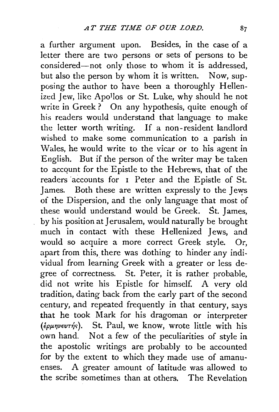a further argument upon. Besides, in the case of a letter there are two persons or sets of persons to be considered-not only those to whom it is addressed, but also the person by whom it is written. Now, supposing the author to have been a thoroughly Hellenized Jew, like Apollos or St. Luke, why should he not write in Greek? On any hypothesis, quite enough of his readers would understand that language to make the letter worth writing. If a non-resident landlord wished to make some communication to a parish in Wales, he would write to the vicar or to his agent in English. But if the person of the writer may be taken to accqunt for the Epistle to the Hebrews, that of the readers accounts for 1 Peter and the Epistle of St. James. Both these are written expressly to the Jews of the Dispersion, and the only language that most of these would understand would be Greek. St. James, by his position at Jerusalem, would naturally be brought much in contact with these Hellenized Jews, and would so acquire a more correct Greek style. Or, apart from this, there was dothing to hinder any individual from learning Greek with a greater or less degree of correctness. St. Peter, it is rather probable, did not write his Epistle for himself. A very old tradition, dating back from the early part of the second century, and repeated frequently in that century, says that he took Mark for his dragoman or interpreter  $(\epsilon_{\rho\mu\eta\nu\epsilon\upsilon\tau\eta\varsigma})$ . St. Paul, we know, wrote little with his own hand. Not a few of the peculiarities of style in the apostolic writings are probably to be accounted for by the extent to which they made use of amanuenses. A greater amount of latitude was allowed to the scribe sometimes than at others. The Revelation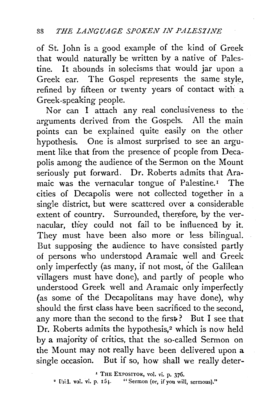of St. John is a good example of the kind of Greek that would naturally be written by a native of Palestine. It abounds in solecisms that would jar upon a Greek ear. The Gospel represents the same style. refined by fifteen or twenty years of contact with a Greek-speaking people.

Nor can I attach any real conclusiveness to the arguments derived from the Gospels. All the main points can be explained quite easily on the other hypothesis. One is almost surprised to see an argument like that from the presence of people from Decapolis among the audience of the Sermon on the Mount seriously put forward. Dr. Roberts admits that Aramaic was the vernacular tongue of Palestine.<sup>1</sup> The cities of Decapolis were not collected together in a single district, but were scattered over a considerable extent of country. Surrounded, therefore, by the vernacular, they could not fail to be influenced by it. They must have been also more or less bilingual. But supposing the audience to have consisted partly of persons who understood Aramaic well and· Greek only imperfectly (as many, if not most, of the Galilean villagers must have done), and partly of people who understood Greek well and Aramaic only imperfectly (as some of the Decapolitans may have done), why should the first class have been sacrificed to the second, any more than the second to the first? But I see that Dr. Roberts admits the hypothesis,<sup>2</sup> which is now held by a majority of critics, that the so-called Sermon on the Mount may not really have been delivered upon a single occasion. But if so, how shall we really deter-

<sup>1</sup> THE EXPOSITOR, vol. vi. p. 376.

• Ihii. vol. vi. p. I5l· "Sermon (or, if you will, sermons)."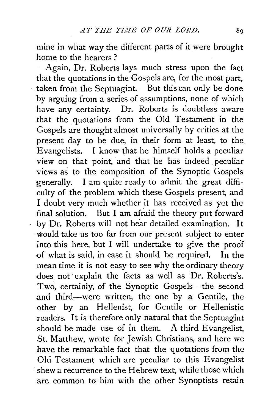mine in what way the different parts of it were brought home to the hearers ?

Again, Dr. Roberts lays much stress upon the fact that the quotations in the Gospels are, for the most part, taken from the Septuagint. But this can only be done by arguing from a series of assumptions, none of which have any certainty. Dr. Roberts is doubtless aware that the quotations from the Old Testament in the Gospels are thought almost universally by critics at the present day to be due, in their form at least, to the Evangelists. I know that he himself holds a peculiar view on that point, and that he has indeed peculiar views as to the composition of the Synoptic Gospels generally. I am quite ready to admit the great difficulty of the problem which these Gospels present, and I doubt very much whether it has received as yet the final solution. But I am afraid the theory put forward by Dr. Roberts will not bear detailed examination. It would take us too far from our present subject to enter into this here, but I will undertake to give the proof of what is said, in case it should be required. In the mean time it is not easy to see why the ordinary theory does not explain the facts as well as Dr. Roberts's. Two, certainly, of the Synoptic Gospels-the second and third-were written, the one by a Gentile, the other by an Hellenist, for Gentile or Hellenistic readers. It is therefore only natural that the Septuagint should be made use of in them. A third Evangelist, St. Matthew, wrote for Jewish Christians, and here we have the remarkable fact that the quotations from the Old Testament which are peculiar to this Evangelist shew a recurrence to the Hebrew text, while those which are common to him with the other Synoptists retain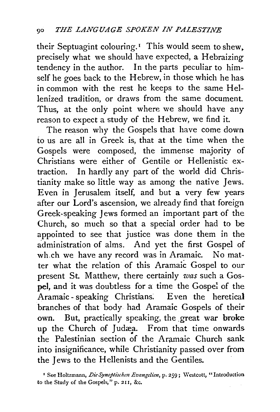their Septuagint colouring.<sup>1</sup> This would seem to shew, precisely what we should have expected, a Hebraizing tendency in the author. In the parts peculiar to himself he goes back to the Hebrew, in those which he has in common with the rest he keeps to the same Hellenized tradition, or draws from the same document. Thus, at the only point where we should have any reason to expect a study of the Hebrew, we find it.

The reason why the Gospels that have come down to us are all in Greek is, that at the time when the Gospels were composed, the immense majority of Christians were either of Gentile or Hellenistic extraction. In hardly any part of the world did Christianity make so little way as among the native Jews. Even in Jerusalem itself, and but a very few years after our Lord's ascension, we already find that foreign Greek-speaking Jews formed an important part of the Church, so much so that a special order had to be appointed to see that justice was done them in the administration of alms. And yet the first Gospel of wh.ch we have any record was in Aramaic. No matter what the relation of this Aramaic Gospel to our present St. Matthew, there certainly *was* such a Gospel, and it was doubtless for a time the Gospel of the Aramaic - speaking Christians: Even the heretical branches of that body had Aramaic Gospels of their own. But, practically speaking, the great war broke up the Church of Judæa. From that time onwards the Palestinian section of the Aramaic Church sank into insignificance, while Christianity passed over from the Jews to the Hellenists and the Gentiles.

<sup>&</sup>lt;sup>1</sup> See Holtzmann, *Die Synoptischen Evangelien*, p. 259; Westcott, "Introduction to the Study of the Gospels," p. 2II, &c.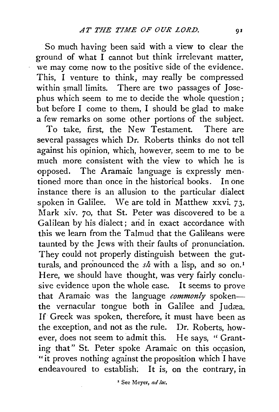So much having been said with a view to clear the ground of what I cannot but think irrelevant matter, we may come now to the positive side of the evidence. This, I venture to think, may really be compressed within small limits. There are two passages of Josephus which seem to me to decide the whole question ; but before I come to them, I should be glad to make a few remarks on some other portions of the subject.

To take, first, the New Testament. There are several passages which Dr. Roberts thinks do not tell against his opinion, which, however, seem to me to be much more consistent with the view to which he is opposed. The Aramaic language is expressly mentioned more than once in the historical books. In one instance there is an allusion to the particular dialect spoken in Galilee. \Ve are told in Matthew xxvi. *73,*  Mark xiv. *70,* that St. Peter was discovered to be a Galilean by his dialect; arid in exact accordance with this we learn from the Talmud that the Galileans were taunted by the Jews with their faults of pronunciation. They could not properly distinguish between the gutturals, and pronounced the *sh* with a lisp, and so on. 1 Here, we should have thought, was very fairly conclusive evidence upon the whole case. It seems to prove that Aramaic was the language *commonly* spokenthe vernacular tongue both in Galilee and Judæa. If Greek was spoken, therefore, it must have been as the exception, and not as the rule. Dr. Roberts, however, does not seem to admit this. He says, ''Granting that" St. Peter spoke Aramaic on this occasion, "it proves nothing against the proposition which I have endeavoured to establish: It is, on the contrary, in

<sup>1</sup> See Meyer, ad loc.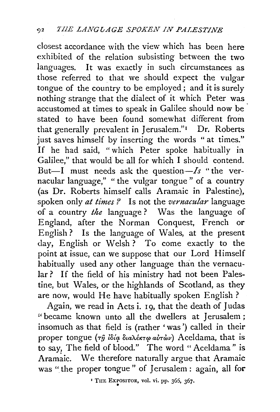closest accordance with the view which has been here exhibited of the relation subsisting between the two languages. It was exactly in such circumstances as those referred to that we should expect the vulgar tongue of the country to be employed ; and it is surely nothing strange that the dialect of it which Peter was accustomed at times to speak in Galilee should now be stated to have been found somewhat different from that generally prevalent in Jerusalem." $\Gamma$  Dr. Roberts just saves himself by inserting the words "at times." If he had said, "which Peter spoke habitually in Galilee," that would be all for which I should contend. But-I must needs ask the question $-S$  "the vernacular language," "the vulgar tongue" of a country (as Dr. Roberts himself calls Aramaic in Palestine), spoken only *at times?* Is not the *vernacular* language of a country *the* language ? Was the language of England, after the Norman Conquest, French or English? Is the language of Wales, at the present day, English or Welsh? To come exactly to the point at issue, can we suppose that our Lord Himself habitually used any other language than the vernacular? If the field of his ministry had not been Palestine, but Wales, or the highlands of Scotland, as they are now, would He have habitually spoken English?

Again, we read in Acts i. 19, that the death of Judas "became known unto all the dwellers at Jerusalem; insomuch as that field is (rather 'was') called in their proper tongue ( $\tau_{\hat{H}}$  *ibia bianékita airáv*) Aceldama, that is to say, The field of blood." The word "Aceldama" is Aramaic. We therefore naturally argue that Aramaic was "the proper tongue" of Jerusalem : again, all for

<sup>1</sup> THE EXPOSITOR, vol. vi. pp. 365, 367.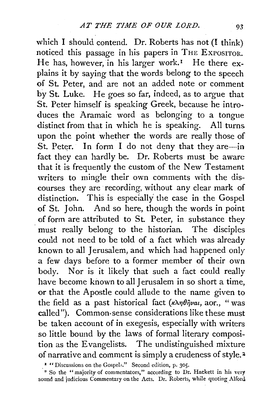which I should contend. Dr. Roberts has not (I think) noticed this passage in his papers in THE EXPOSITOR. He has, however, in his larger work.<sup>1</sup> He there explains it by saying that the words belong to the speech of St. Peter, and are not an added note or comment by St. Luke. He goes so far, indeed, as to argue that St. Peter himself is speaking Greek, because he introduces the Aramaic word as belonging to a tongue distinct from that in which he is speaking. All turns upon the point whether the words are really those of St. Peter. In form I do not deny that they are-in fact they can hardly be. Dr. Roberts must be aware that it is frequently the custom of the New Testament writers to mingle their own comments with the discourses they are recording, without any clear mark of distinction. This is especially' the case in the Gospel of St. John. And so here, though the words in point of form are attributed to St. Peter, in substance they must really belong to the historian. The disciples could not need to be told of a fact which was already known to all Jerusalem, and which had happened only a few days before to a former member of their own body. Nor is it likely that such a fact could really have become known to all Jerusalem in so short a time, or that the Apostle could allude to the name given to the field as a past historical fact (κληθήναι, aor., "was called"). Common-sense considerations like these must be taken account of in exegesis, especially with writers so little bound by the laws of formal literary composition as the Evangelists. The undistinguished mixture of narrative and comment is simply a crudeness of style.<sup>2</sup>

<sup>&</sup>lt;sup>\*</sup> "Discussions on the Gospels." Second edition, p. 305.

<sup>•</sup> 2 So the " majority of commentators," according to Dr. Hackett in his very sound and judicious Commentary on the Acts. Dr. Roberts, while quoting Alford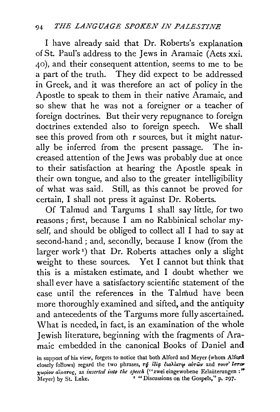I have already said that Dr. Roberts's explanation of St. Paul's address to the Jews in Aramaic (Acts xxi. 40), and their consequent attention, seems to me to be a part of the truth. They did expect to be addressed in Greek, and it was therefore an act of policy in the Apostle to speak to them in their native Aramaic, and so shew that he was not a foreigner or a teacher of foreign doctrines. But their very repugnance to foreign doctrines extended also to foreign speech. We shall see this proved from oth r sources, but it might naturally be inferred from the present passage. The increased attention of the Jews was probably due at once to their satisfaction at hearing the Apostle speak in their own tongue, and also to the greater intelligibility of what was said. Still, as this cannot be proved for certain, I shall not press it against Dr. Roberts.

Of Talmud and Targums I shall say little, for two reasons ; first, because I am no Rabbinical scholar myself, and should be obliged to collect all I had to say at second-hand; and, secondly, because I know (from the larger work<sup>1</sup>) that Dr. Roberts attaches only a slight weight to these sources. Yet I cannot but think that this is a mistaken estimate, and I doubt whether we shall ever have a satisfactory scientific statement of the case until the references in the Talmud have been more thoroughly examined and sifted, and the antiquity and antecedents of the Targums more fully ascertained. What is needed, in fact, is an examination of the whole Jewish literature, beginning with the fragments of Aramaic embedded in the canonical Books of Daniel and

in support of his view, forgets to notice that both Alford and Meyer (whom Alford closely follows) regard the two phrases,  $\tau\tilde{y}$  *idia dualisty airws* and  $\tau\omega r'$  lorry *xwpiov alluaroc, as <i>inserted into the speech* ("zwei eingewobene Erlauterungen :"  $\frac{1}{2}$  Meyer) by St. Luke. •  $\frac{1}{2}$  "  $\frac{1}{2}$  "Discussions on the Gospels," p. 297.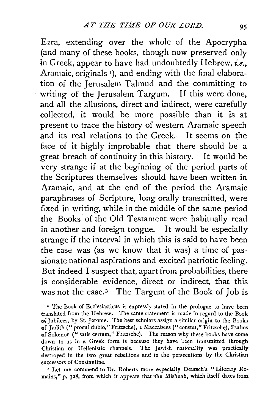Ezra, extending over the whole of the Apocrypha (and many of these books, though now preserved only in Greek, appear to have had undoubtedly Hebrew, *i.e.,*  Aramaic, originals 1), and ending with the final elaboration of the Jerusalem Talmud and the committing to writing of the Jerusalem Targum. If this were done, and all the allusions, direct and indirect, were carefully collected, it would be more possible than it is at present to trace the history of western Aramaic speech and its real relations to the Greek. It seems on the face of it highly improbable that there should be a great breach of continuity in this history. It would be very strange if at the beginning of the period parts of the Scriptures themselves should have been written in Aramaic, and at the end of the period the Aramaic paraphrases of Scripture, long orally transmitted, were fixed in writing, while in the middle of the same period the Books of the Old Testament were habitually read in another and foreign tongue. It would be especially strange if the interval in which this is said to have been the case was (as we know that it was) a time of passionate national aspirations and excited patriotic feeling. But indeed I suspect that, apart from probabilities, there is considerable evidence, direct or indirect, that this was not the case.<sup>2</sup> The Targum of the Book of  $J$ ob is

<sup>1</sup> The Book of Ecclesiasticus is expressly stated in the prologue to have been translated from the Hebrew. The same statement is made in regard to the Book of Jubilees, by St. Jerome. The best scholars assign a similar origin to the Books of Judith (" procul dubio," Fritzsche), I Maccabees ("constat," Fritzsche), Psalms of Solomon (" satis certum," Fritzsche). The reason why these bouks have come down to us in a Greek form is because they have been transmitted through Christian or Hellenistic channels. The Jewish nationality was practically destroyed in the two great rebellions and in the persecutions by the Christian successors of Constantine.<br><sup>2</sup> Let me commend to Dr. Roberts more especially Deutsch's "Literary Re-

mains," p. 328, from which it appears that the Mishnah, which itself dates from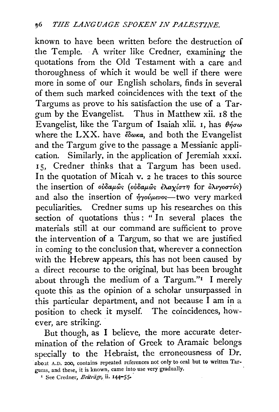known to have been written before the destruction of the Temple. A writer like Credner, examining the quotations from the Old Testament with a care and thoroughness of which it would be well if there were more in some of our English scholars, finds in several of them such marked coincidences with the text of the Targums as prove to his satisfaction the use of a Tar· gum by the Evangelist. Thus in Matthew xii. 18 the Evangelist, like the Targum of Isaiah xlii. 1, has  $\theta\eta\sigma\omega$ where the LXX. have  $\epsilon \delta \omega \kappa a$ , and both the Evangelist and the Targum give to the passage a Messianic application. Similarly, in the application of Jeremiah xxxi. 15, Credner thinks that a Targum has been used. In the quotation of Micah v. *2* he traces to this source the insertion of οὐδαμῶς (οὐδαμῶς ἐλαχίστη for ὀλιγοστός) and also the insertion of  $\dot{\eta}$ yov/ $\mu \epsilon \nu$ os - two very marked peculiarities. Credner sums up his researches on this section of quotations thus: " In several places the materials still at our command are sufficient to prove the intervention of a Targum, so that we are justified in coming to the conclusion that, wherever a connection with the Hebrew appears, this has not been caused by a direct recourse to the original, but has been brought about through the medium of a Targum." $I$  I merely quote this as the opinion of a scholar unsurpassed in this particular department, and not because I am in a position to check it myself. The coincidences, however, are striking.

But though, as I believe, the more accurate determination of the relation of Greek to Aramaic belongs specially to the Hebraist, the erroneousness of Dr. about A.D. 200, contains repeated references not only to oral but to written Targums, and these, it is known, came into use very gradually.

' See Credne:, *Edtriige,* il. 144-55•.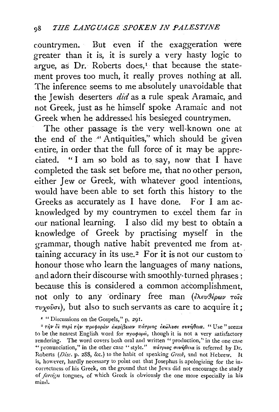countrymen. But even if the exaggeration were greater than it is, it is surely a very hasty logic to argue, as Dr. Roberts does,<sup>1</sup> that because the statement proves too much, it really proves nothing at all. The inference seems to me absolutely unavoidable that the Jewish deserters  $did$  as a rule speak Aramaic, and not Greek, just as he himself spoke Aramaic and not Greek when he addressed his besieged countrymen.

The other passage is the very well-known one at the end of the "Antiquities," which should be given entire, in order that the full force of it may be appreciated. "I am so bold as to say, now that I have completed the task set before me, that no other person, either Jew or Greek, with whatever good intentions, would have been able to set forth this history to the Greeks as accurately as I have done. For I am acknowledged by my countrymen to excel them far in our national learning. I also did my best to obtain a knowledge of Greek by practising myself in the grammar, though native habit prevented me from attaining accuracy in its use. $2$  For it is not our custom to honour those who learn the languages of many nations, and adorn their discourse with smoothly-turned phrases ; because this is considered a common accomplishment, not only to any ordinary free man (ελευθέρων τοΐς *-rvxovcn),* but also to such servants as care to acquire it;

<sup>2</sup> <sup>*1</sup></sub> Discussions on the Gospels," p. 291.<br><sup>2</sup> την δε περί την προφοράν άκρίβειαν πάτριος εκώλυσε συνήθεια. <sup>14</sup> Use "seems</sup>* to be the nearest English word for  $\pi \rho o \phi o \rho \dot{\alpha}$ , though it is not a very satisfactory rendering. The word covers both oral and written " production," in the one case " pronunciation," in the other case " style." πάτριος συνήθεια is referred by Dr. Roberts *(Disc. p. 288, &c.)* to the habit of speaking *Greek*, and not Hebrew. It is, however, hardly necessary to point out that Josephus is apologizing for the incorrectness of his Greek, on the ground that the Jews did not encourage the study of foreign tongues, of which Greek is obviously the one more especially in his mind.